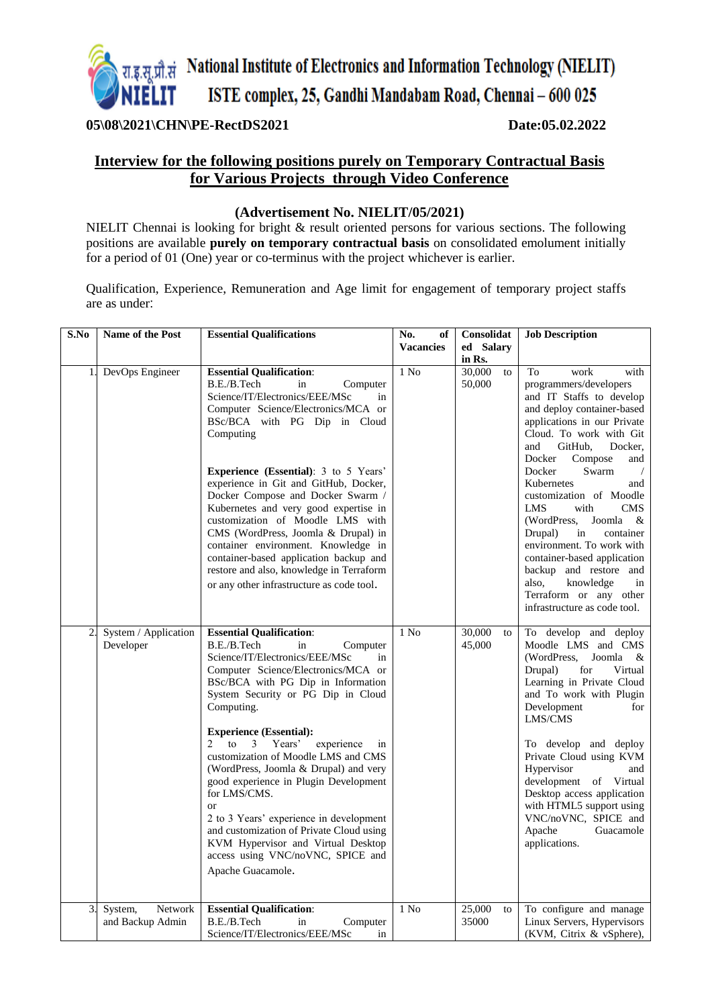

### **05\08\2021\CHN\PE-RectDS2021 Date:05.02.2022**

## **Interview for the following positions purely on Temporary Contractual Basis for Various Projects through Video Conference**

#### **(Advertisement No. NIELIT/05/2021)**

NIELIT Chennai is looking for bright & result oriented persons for various sections. The following positions are available **purely on temporary contractual basis** on consolidated emolument initially for a period of 01 (One) year or co-terminus with the project whichever is earlier.

Qualification, Experience, Remuneration and Age limit for engagement of temporary project staffs are as under:

| S.No           | Name of the Post                       | <b>Essential Qualifications</b>                                                                                                                                                                                                                                                                                                                                                                                                                                                                                                                                                                                                                                        | No.<br>of<br><b>Vacancies</b> | Consolidat<br>ed Salary          | <b>Job Description</b>                                                                                                                                                                                                                                                                                                                                                                                                                                                                                                                                                      |
|----------------|----------------------------------------|------------------------------------------------------------------------------------------------------------------------------------------------------------------------------------------------------------------------------------------------------------------------------------------------------------------------------------------------------------------------------------------------------------------------------------------------------------------------------------------------------------------------------------------------------------------------------------------------------------------------------------------------------------------------|-------------------------------|----------------------------------|-----------------------------------------------------------------------------------------------------------------------------------------------------------------------------------------------------------------------------------------------------------------------------------------------------------------------------------------------------------------------------------------------------------------------------------------------------------------------------------------------------------------------------------------------------------------------------|
| 1.             | DevOps Engineer                        | <b>Essential Qualification:</b><br>B.E./B.Tech<br>Computer<br>in<br>Science/IT/Electronics/EEE/MSc<br>in<br>Computer Science/Electronics/MCA or<br>BSc/BCA with PG Dip in Cloud<br>Computing<br><b>Experience (Essential)</b> : 3 to 5 Years'<br>experience in Git and GitHub, Docker,<br>Docker Compose and Docker Swarm /<br>Kubernetes and very good expertise in<br>customization of Moodle LMS with<br>CMS (WordPress, Joomla & Drupal) in<br>container environment. Knowledge in<br>container-based application backup and<br>restore and also, knowledge in Terraform<br>or any other infrastructure as code tool.                                              | $1$ No                        | in Rs.<br>30,000<br>to<br>50,000 | To<br>work<br>with<br>programmers/developers<br>and IT Staffs to develop<br>and deploy container-based<br>applications in our Private<br>Cloud. To work with Git<br>GitHub.<br>Docker.<br>and<br>Docker<br>Compose<br>and<br>Docker<br>Swarm<br>Kubernetes<br>and<br>customization of Moodle<br><b>LMS</b><br>with<br><b>CMS</b><br>(WordPress,<br>Joomla<br>$\&$<br>container<br>Drupal)<br>in<br>environment. To work with<br>container-based application<br>backup and restore and<br>also,<br>knowledge<br>in<br>Terraform or any other<br>infrastructure as code tool. |
| $\overline{2}$ | System / Application<br>Developer      | <b>Essential Qualification:</b><br>B.E./B.Tech<br>in<br>Computer<br>Science/IT/Electronics/EEE/MSc<br>in<br>Computer Science/Electronics/MCA or<br>BSc/BCA with PG Dip in Information<br>System Security or PG Dip in Cloud<br>Computing.<br><b>Experience (Essential):</b><br>2<br>to<br>3<br>Years'<br>experience<br>in<br>customization of Moodle LMS and CMS<br>(WordPress, Joomla & Drupal) and very<br>good experience in Plugin Development<br>for LMS/CMS.<br><b>or</b><br>2 to 3 Years' experience in development<br>and customization of Private Cloud using<br>KVM Hypervisor and Virtual Desktop<br>access using VNC/noVNC, SPICE and<br>Apache Guacamole. | $1$ No                        | 30,000<br>to<br>45,000           | To develop and deploy<br>Moodle LMS and CMS<br>(WordPress,<br>Joomla<br>- &<br>Drupal)<br>for<br>Virtual<br>Learning in Private Cloud<br>and To work with Plugin<br>Development<br>for<br>LMS/CMS<br>To develop and deploy<br>Private Cloud using KVM<br>Hypervisor<br>and<br>development of Virtual<br>Desktop access application<br>with HTML5 support using<br>VNC/noVNC, SPICE and<br>Apache<br>Guacamole<br>applications.                                                                                                                                              |
| 3.             | Network<br>System,<br>and Backup Admin | <b>Essential Qualification:</b><br>B.E./B.Tech<br>in<br>Computer<br>Science/IT/Electronics/EEE/MSc<br>in                                                                                                                                                                                                                                                                                                                                                                                                                                                                                                                                                               | $1$ No                        | 25,000<br>to<br>35000            | To configure and manage<br>Linux Servers, Hypervisors<br>(KVM, Citrix & vSphere),                                                                                                                                                                                                                                                                                                                                                                                                                                                                                           |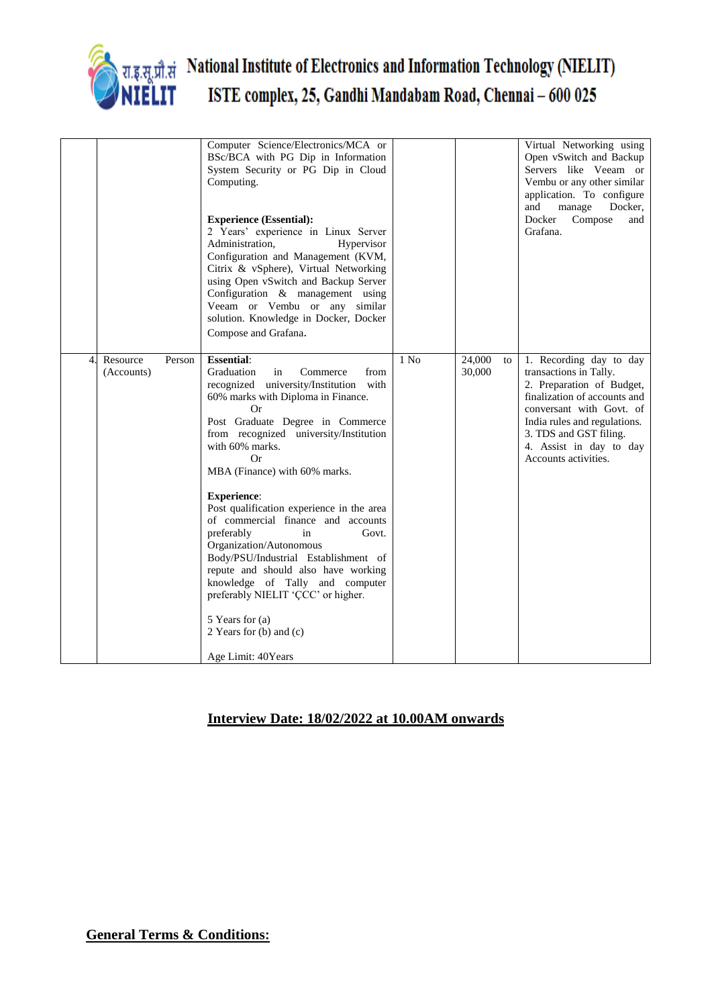

# National Institute of Electronics and Information Technology (NIELIT) ISTE complex, 25, Gandhi Mandabam Road, Chennai - 600 025

|                |                        |        | Computer Science/Electronics/MCA or<br>BSc/BCA with PG Dip in Information<br>System Security or PG Dip in Cloud<br>Computing.<br><b>Experience (Essential):</b><br>2 Years' experience in Linux Server<br>Administration,<br>Hypervisor<br>Configuration and Management (KVM,<br>Citrix & vSphere), Virtual Networking<br>using Open vSwitch and Backup Server<br>Configuration & management using<br>Veeam or Vembu or any similar<br>solution. Knowledge in Docker, Docker<br>Compose and Grafana.                                                                                                                                                                                           |                  |                  |    | Virtual Networking using<br>Open vSwitch and Backup<br>Servers like Veeam or<br>Vembu or any other similar<br>application. To configure<br>and<br>manage<br>Docker,<br>Docker<br>Compose<br>and<br>Grafana.                                             |
|----------------|------------------------|--------|------------------------------------------------------------------------------------------------------------------------------------------------------------------------------------------------------------------------------------------------------------------------------------------------------------------------------------------------------------------------------------------------------------------------------------------------------------------------------------------------------------------------------------------------------------------------------------------------------------------------------------------------------------------------------------------------|------------------|------------------|----|---------------------------------------------------------------------------------------------------------------------------------------------------------------------------------------------------------------------------------------------------------|
| $\overline{4}$ | Resource<br>(Accounts) | Person | <b>Essential:</b><br>Graduation<br>in<br>Commerce<br>from<br>recognized university/Institution<br>with<br>60% marks with Diploma in Finance.<br><b>Or</b><br>Post Graduate Degree in Commerce<br>from recognized university/Institution<br>with 60% marks.<br>Or<br>MBA (Finance) with 60% marks.<br><b>Experience:</b><br>Post qualification experience in the area<br>of commercial finance and accounts<br>preferably<br>in<br>Govt.<br>Organization/Autonomous<br>Body/PSU/Industrial Establishment of<br>repute and should also have working<br>knowledge of Tally and computer<br>preferably NIELIT 'CCC' or higher.<br>5 Years for (a)<br>2 Years for (b) and (c)<br>Age Limit: 40Years | 1 N <sub>0</sub> | 24,000<br>30,000 | to | 1. Recording day to day<br>transactions in Tally.<br>2. Preparation of Budget,<br>finalization of accounts and<br>conversant with Govt. of<br>India rules and regulations.<br>3. TDS and GST filing.<br>4. Assist in day to day<br>Accounts activities. |

## **Interview Date: 18/02/2022 at 10.00AM onwards**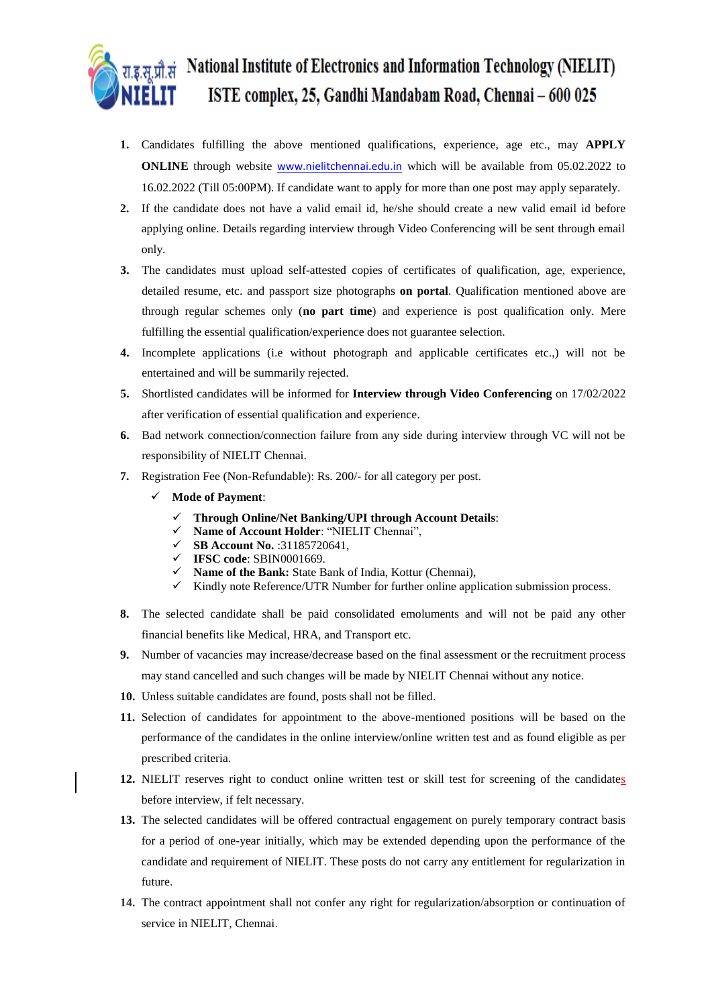# **National Institute of Electronics and Information Technology (NIELIT)** रा.इ.स्.प्रौ.सं ISTE complex, 25, Gandhi Mandabam Road, Chennai - 600 025

- **1.** Candidates fulfilling the above mentioned qualifications, experience, age etc., may **APPLY ONLINE** through website **[www.nielitchennai.edu.in](http://www.nielitchennai.edu.in/)** which will be available from 05.02.2022 to 16.02.2022 (Till 05:00PM). If candidate want to apply for more than one post may apply separately.
- **2.** If the candidate does not have a valid email id, he/she should create a new valid email id before applying online. Details regarding interview through Video Conferencing will be sent through email only.
- **3.** The candidates must upload self-attested copies of certificates of qualification, age, experience, detailed resume, etc. and passport size photographs **on portal**. Qualification mentioned above are through regular schemes only (**no part time**) and experience is post qualification only. Mere fulfilling the essential qualification/experience does not guarantee selection.
- **4.** Incomplete applications (i.e without photograph and applicable certificates etc.,) will not be entertained and will be summarily rejected.
- **5.** Shortlisted candidates will be informed for **Interview through Video Conferencing** on 17/02/2022 after verification of essential qualification and experience.
- **6.** Bad network connection/connection failure from any side during interview through VC will not be responsibility of NIELIT Chennai.
- **7.** Registration Fee (Non-Refundable): Rs. 200/- for all category per post.
	- **Mode of Payment**:
		- **Through Online/Net Banking/UPI through Account Details**:
		- **Name of Account Holder**: "NIELIT Chennai",
		- **SB Account No.** :31185720641,
		- **IFSC code**: SBIN0001669.
		- **Name of the Bank:** State Bank of India, Kottur (Chennai),
		- $\checkmark$  Kindly note Reference/UTR Number for further online application submission process.
- **8.** The selected candidate shall be paid consolidated emoluments and will not be paid any other financial benefits like Medical, HRA, and Transport etc.
- **9.** Number of vacancies may increase/decrease based on the final assessment or the recruitment process may stand cancelled and such changes will be made by NIELIT Chennai without any notice.
- **10.** Unless suitable candidates are found, posts shall not be filled.
- **11.** Selection of candidates for appointment to the above-mentioned positions will be based on the performance of the candidates in the online interview/online written test and as found eligible as per prescribed criteria.
- **12.** NIELIT reserves right to conduct online written test or skill test for screening of the candidates before interview, if felt necessary.
- **13.** The selected candidates will be offered contractual engagement on purely temporary contract basis for a period of one-year initially, which may be extended depending upon the performance of the candidate and requirement of NIELIT. These posts do not carry any entitlement for regularization in future.
- **14.** The contract appointment shall not confer any right for regularization/absorption or continuation of service in NIELIT, Chennai.